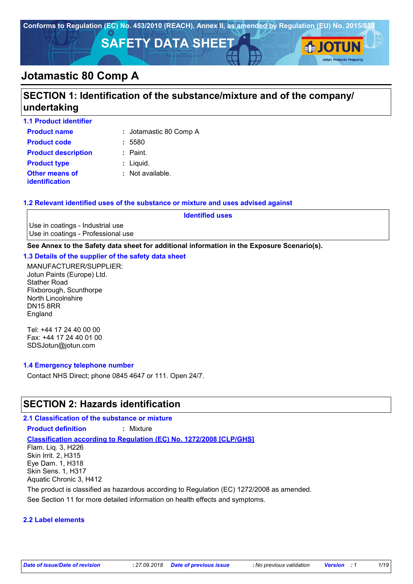

# **Jotamastic 80 Comp A**

# **SECTION 1: Identification of the substance/mixture and of the company/ undertaking**

| <b>1.1 Product identifier</b>                  |                        |
|------------------------------------------------|------------------------|
| <b>Product name</b>                            | : Jotamastic 80 Comp A |
| <b>Product code</b>                            | : 5580                 |
| <b>Product description</b>                     | $:$ Paint.             |
| <b>Product type</b>                            | $:$ Liquid.            |
| <b>Other means of</b><br><b>identification</b> | $:$ Not available.     |

## **1.2 Relevant identified uses of the substance or mixture and uses advised against**

**Identified uses**

Use in coatings - Industrial use Use in coatings - Professional use

**See Annex to the Safety data sheet for additional information in the Exposure Scenario(s).**

## **1.3 Details of the supplier of the safety data sheet**

MANUFACTURER/SUPPLIER: Jotun Paints (Europe) Ltd. Stather Road Flixborough, Scunthorpe North Lincolnshire DN15 8RR England

Tel: +44 17 24 40 00 00 Fax: +44 17 24 40 01 00 SDSJotun@jotun.com

## **1.4 Emergency telephone number**

Contact NHS Direct; phone 0845 4647 or 111. Open 24/7.

## **SECTION 2: Hazards identification**

## **2.1 Classification of the substance or mixture**

**Product definition :** Mixture

**Classification according to Regulation (EC) No. 1272/2008 [CLP/GHS]**

Flam. Liq. 3, H226 Skin Irrit. 2, H315 Eye Dam. 1, H318 Skin Sens. 1, H317 Aquatic Chronic 3, H412

The product is classified as hazardous according to Regulation (EC) 1272/2008 as amended.

See Section 11 for more detailed information on health effects and symptoms.

## **2.2 Label elements**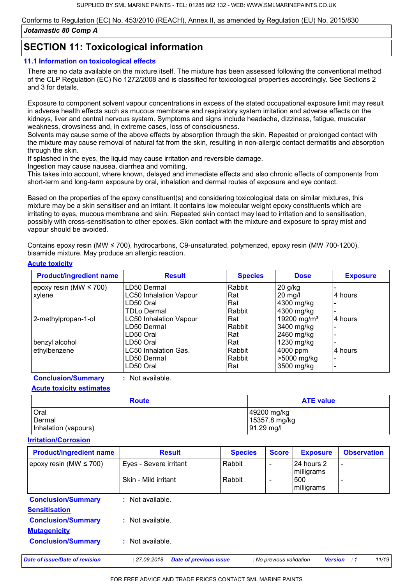## **SECTION 11: Toxicological information**

#### **11.1 Information on toxicological effects**

There are no data available on the mixture itself. The mixture has been assessed following the conventional method of the CLP Regulation (EC) No 1272/2008 and is classified for toxicological properties accordingly. See Sections 2 and 3 for details.

Exposure to component solvent vapour concentrations in excess of the stated occupational exposure limit may result in adverse health effects such as mucous membrane and respiratory system irritation and adverse effects on the kidneys, liver and central nervous system. Symptoms and signs include headache, dizziness, fatigue, muscular weakness, drowsiness and, in extreme cases, loss of consciousness.

Solvents may cause some of the above effects by absorption through the skin. Repeated or prolonged contact with [the mixture may cause removal of natural fat from the skin, resulting in non-allergic contact dermatitis and absorption](https://www.smlmarinepaints.co.uk/primers/jotamastic-range/jotamastic-80)  through the skin.

If splashed in the eyes, the liquid may cause irritation and reversible damage.

Ingestion may cause nausea, diarrhea and vomiting.

This takes into account, where known, delayed and immediate effects and also chronic effects of components from short-term and long-term exposure by oral, inhalation and dermal routes of exposure and eye contact.

Based on the properties of the epoxy constituent(s) and considering toxicological data on similar mixtures, this mixture may be a skin sensitiser and an irritant. It contains low molecular weight epoxy constituents which are irritating to eyes, mucous membrane and skin. Repeated skin contact may lead to irritation and to sensitisation, possibly with cross-sensitisation to other epoxies. Skin contact with the mixture and exposure to spray mist and vapour should be avoided.

Contains epoxy resin (MW ≤ 700), hydrocarbons, C9-unsaturated, polymerized, epoxy resin (MW 700-1200), bisamide mixture. May produce an allergic reaction.

#### **Acute toxicity**

| <b>Product/ingredient name</b> | <b>Result</b>                 | <b>Species</b> | <b>Dose</b>             | <b>Exposure</b>          |
|--------------------------------|-------------------------------|----------------|-------------------------|--------------------------|
| epoxy resin (MW $\leq$ 700)    | LD50 Dermal                   | Rabbit         | $20$ g/kg               |                          |
| xylene                         | <b>LC50 Inhalation Vapour</b> | Rat            | $20$ mg/                | 4 hours                  |
|                                | LD50 Oral                     | Rat            | 4300 mg/kg              | ۰                        |
|                                | TDLo Dermal                   | Rabbit         | 4300 mg/kg              | -                        |
| 2-methylpropan-1-ol            | <b>LC50 Inhalation Vapour</b> | Rat            | 19200 mg/m <sup>3</sup> | 4 hours                  |
|                                | LD50 Dermal                   | Rabbit         | 3400 mg/kg              |                          |
|                                | LD50 Oral                     | Rat            | 2460 mg/kg              |                          |
| benzyl alcohol                 | LD50 Oral                     | Rat            | 1230 mg/kg              | ۰                        |
| ethylbenzene                   | <b>LC50 Inhalation Gas.</b>   | Rabbit         | 4000 ppm                | 4 hours                  |
|                                | LD50 Dermal                   | Rabbit         | >5000 mg/kg             | ۰                        |
|                                | LD50 Oral                     | Rat            | 3500 mg/kg              | $\overline{\phantom{0}}$ |

**Conclusion/Summary :** Not available.

**Acute toxicity estimates**

| <b>Route</b>         | <b>ATE value</b> |  |
|----------------------|------------------|--|
| Oral                 | 49200 mg/kg      |  |
| Dermal               | 15357.8 mg/kg    |  |
| Inhalation (vapours) | $91.29$ mg/l     |  |

#### **Irritation/Corrosion**

| <b>Product/ingredient name</b> | <b>Result</b>                                 | <b>Species</b> | <b>Score</b>             | <b>Exposure</b>          | <b>Observation</b>      |
|--------------------------------|-----------------------------------------------|----------------|--------------------------|--------------------------|-------------------------|
| epoxy resin (MW $\leq$ 700)    | Eyes - Severe irritant                        | Rabbit         |                          | 24 hours 2<br>milligrams |                         |
|                                | Skin - Mild irritant                          | Rabbit         |                          | 500<br>milligrams        |                         |
| <b>Conclusion/Summary</b>      | : Not available.                              |                |                          |                          |                         |
| <b>Sensitisation</b>           |                                               |                |                          |                          |                         |
| <b>Conclusion/Summary</b>      | : Not available.                              |                |                          |                          |                         |
| <b>Mutagenicity</b>            |                                               |                |                          |                          |                         |
| <b>Conclusion/Summary</b>      | : Not available.                              |                |                          |                          |                         |
| Date of issue/Date of revision | <b>Date of previous issue</b><br>: 27.09.2018 |                | : No previous validation |                          | 11/19<br>Version<br>- 1 |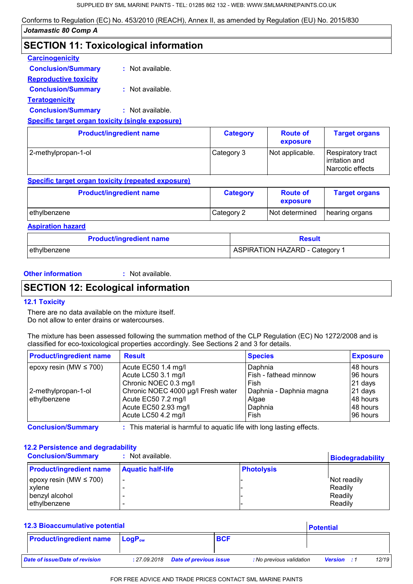# **SECTION 11: Toxicological information**

## **Carcinogenicity**

| <b>Conclusion/Summary</b>    | : Not available. |
|------------------------------|------------------|
| <b>Reproductive toxicity</b> |                  |
| <b>Conclusion/Summary</b>    | : Not available. |
| <b>Teratogenicity</b>        |                  |
| <b>Conclusion/Summary</b>    | : Not available. |
|                              |                  |

#### **Specific target organ toxicity (single exposure)**

| <b>Product/ingredient name</b> | <b>Category</b> | <b>Route of</b><br>exposure | <b>Target organs</b>                                     |
|--------------------------------|-----------------|-----------------------------|----------------------------------------------------------|
| 2-methylpropan-1-ol            | Category 3      | Not applicable.             | Respiratory tract<br>lirritation and<br>Narcotic effects |

## **Specific target organ toxicity (repeated exposure)**

| <b>Product/ingredient name</b> | <b>Category</b> | <b>Route of</b><br>exposure | <b>Target organs</b> |
|--------------------------------|-----------------|-----------------------------|----------------------|
| ethylbenzene                   | Category 2      | Not determined              | hearing organs       |

#### **Aspiration hazard**

| <b>Product/ingredient name</b> | <b>Result</b>                         |
|--------------------------------|---------------------------------------|
| ethylbenzene_                  | <b>ASPIRATION HAZARD - Category 1</b> |

## **Other information :**

: Not available.

## **SECTION 12: Ecological information**

## **12.1 Toxicity**

There are no data available on the mixture itself. Do not allow to enter drains or watercourses.

[The mixture has been assessed following the summation method of the CLP Regulation \(EC\) No 1272/2008 and is](https://www.smlmarinepaints.co.uk/primers/jotamastic-range/jotamastic-80)  classified for eco-toxicological properties accordingly. See Sections 2 and 3 for details.

| <b>Product/ingredient name</b> | <b>Result</b>                      | <b>Species</b>          | <b>Exposure</b> |
|--------------------------------|------------------------------------|-------------------------|-----------------|
| epoxy resin (MW $\leq$ 700)    | Acute EC50 1.4 mg/l                | Daphnia                 | 148 hours       |
|                                | Acute LC50 3.1 mg/l                | Fish - fathead minnow   | 96 hours        |
|                                | Chronic NOEC 0.3 mg/l              | Fish                    | 21 days         |
| 2-methylpropan-1-ol            | Chronic NOEC 4000 µg/l Fresh water | Daphnia - Daphnia magna | 21 days         |
| ethylbenzene                   | Acute EC50 7.2 mg/l                | Algae                   | 48 hours        |
|                                | Acute EC50 2.93 mg/l               | Daphnia                 | 148 hours       |
|                                | Acute LC50 4.2 mg/l                | Fish                    | 96 hours        |

**Conclusion/Summary :** This material is harmful to aquatic life with long lasting effects.

## **12.2 Persistence and degradability**

| <b>Conclusion/Summary</b><br>: Not available. |                          |                   | <b>Biodegradability</b> |  |
|-----------------------------------------------|--------------------------|-------------------|-------------------------|--|
| <b>Product/ingredient name</b>                | <b>Aquatic half-life</b> | <b>Photolysis</b> |                         |  |
| epoxy resin (MW $\leq$ 700)                   |                          |                   | Not readily             |  |
| xylene                                        |                          |                   | Readily                 |  |
| benzyl alcohol                                |                          |                   | Readily                 |  |
| ethylbenzene                                  |                          |                   | Readily                 |  |

## **Potential 12.3 Bioaccumulative potential**

|                                |                           |                               |                          | .                  |       |
|--------------------------------|---------------------------|-------------------------------|--------------------------|--------------------|-------|
| <b>Product/ingredient name</b> | <b>LogP</b> <sub>ow</sub> | <b>BCF</b>                    |                          |                    |       |
|                                |                           |                               |                          |                    |       |
| Date of issue/Date of revision | : 27.09.2018              | <b>Date of previous issue</b> | : No previous validation | <b>Version</b> : 1 | 12/19 |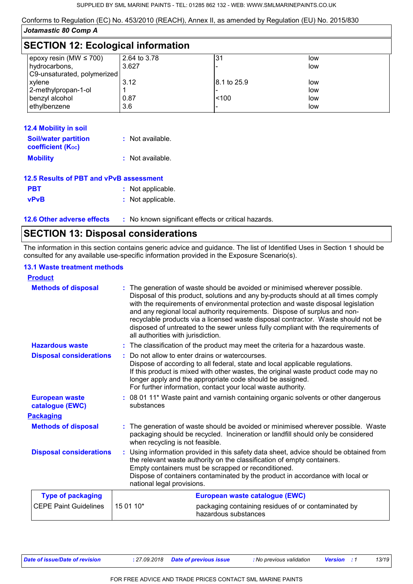| Jotamastic 80 Comp A                      |              |             |     |  |
|-------------------------------------------|--------------|-------------|-----|--|
| <b>SECTION 12: Ecological information</b> |              |             |     |  |
| epoxy resin (MW $\leq$ 700)               | 2.64 to 3.78 | 31          | low |  |
| hydrocarbons,                             | 3.627        |             | low |  |
| C9-unsaturated, polymerized               |              |             |     |  |
| xylene                                    | 3.12         | 8.1 to 25.9 | low |  |
| 2-methylpropan-1-ol                       |              |             | low |  |
| benzyl alcohol                            | 0.87         | < 100       | low |  |
| ethylbenzene                              | 3.6          |             | low |  |

| <b>12.4 Mobility in soil</b>                            |                  |
|---------------------------------------------------------|------------------|
| <b>Soil/water partition</b><br><b>coefficient (Koc)</b> | : Not available. |
| <b>Mobility</b>                                         | : Not available. |

| 12.5 Results of PBT and vPvB assessment |                   |  |
|-----------------------------------------|-------------------|--|
| <b>PBT</b>                              | : Not applicable. |  |
| <b>vPvB</b>                             | : Not applicable. |  |

**12.6 Other adverse effects** : No known significant effects or critical hazards.

## **SECTION 13: Disposal considerations**

[The information in this section contains generic advice and guidance. The list of Identified Uses in Section 1 should be](https://www.smlmarinepaints.co.uk/primers/jotamastic-range/jotamastic-80)  consulted for any available use-specific information provided in the Exposure Scenario(s).

## **13.1 Waste treatment methods**

| <b>Product</b>                           |                                                                                                                                                                                                                                                                                                                                       |                                                                                                                                                                                                                                                                                                                                                                                                                                                                                                                |
|------------------------------------------|---------------------------------------------------------------------------------------------------------------------------------------------------------------------------------------------------------------------------------------------------------------------------------------------------------------------------------------|----------------------------------------------------------------------------------------------------------------------------------------------------------------------------------------------------------------------------------------------------------------------------------------------------------------------------------------------------------------------------------------------------------------------------------------------------------------------------------------------------------------|
| <b>Methods of disposal</b>               | all authorities with jurisdiction.                                                                                                                                                                                                                                                                                                    | : The generation of waste should be avoided or minimised wherever possible.<br>Disposal of this product, solutions and any by-products should at all times comply<br>with the requirements of environmental protection and waste disposal legislation<br>and any regional local authority requirements. Dispose of surplus and non-<br>recyclable products via a licensed waste disposal contractor. Waste should not be<br>disposed of untreated to the sewer unless fully compliant with the requirements of |
| <b>Hazardous waste</b>                   |                                                                                                                                                                                                                                                                                                                                       | : The classification of the product may meet the criteria for a hazardous waste.                                                                                                                                                                                                                                                                                                                                                                                                                               |
| <b>Disposal considerations</b>           |                                                                                                                                                                                                                                                                                                                                       | Do not allow to enter drains or watercourses.<br>Dispose of according to all federal, state and local applicable regulations.<br>If this product is mixed with other wastes, the original waste product code may no<br>longer apply and the appropriate code should be assigned.<br>For further information, contact your local waste authority.                                                                                                                                                               |
| <b>European waste</b><br>catalogue (EWC) | substances                                                                                                                                                                                                                                                                                                                            | : 08 01 11* Waste paint and varnish containing organic solvents or other dangerous                                                                                                                                                                                                                                                                                                                                                                                                                             |
| <b>Packaging</b>                         |                                                                                                                                                                                                                                                                                                                                       |                                                                                                                                                                                                                                                                                                                                                                                                                                                                                                                |
| <b>Methods of disposal</b>               | when recycling is not feasible.                                                                                                                                                                                                                                                                                                       | : The generation of waste should be avoided or minimised wherever possible. Waste<br>packaging should be recycled. Incineration or landfill should only be considered                                                                                                                                                                                                                                                                                                                                          |
| <b>Disposal considerations</b>           | Using information provided in this safety data sheet, advice should be obtained from<br>the relevant waste authority on the classification of empty containers.<br>Empty containers must be scrapped or reconditioned.<br>Dispose of containers contaminated by the product in accordance with local or<br>national legal provisions. |                                                                                                                                                                                                                                                                                                                                                                                                                                                                                                                |
| <b>Type of packaging</b>                 |                                                                                                                                                                                                                                                                                                                                       | European waste catalogue (EWC)                                                                                                                                                                                                                                                                                                                                                                                                                                                                                 |
| <b>CEPE Paint Guidelines</b>             | 15 01 10*                                                                                                                                                                                                                                                                                                                             | packaging containing residues of or contaminated by<br>hazardous substances                                                                                                                                                                                                                                                                                                                                                                                                                                    |
|                                          |                                                                                                                                                                                                                                                                                                                                       |                                                                                                                                                                                                                                                                                                                                                                                                                                                                                                                |

*Date of issue/Date of revision* **:** *27.09.2018 Date of previous issue : No previous validation Version : 1 13/19*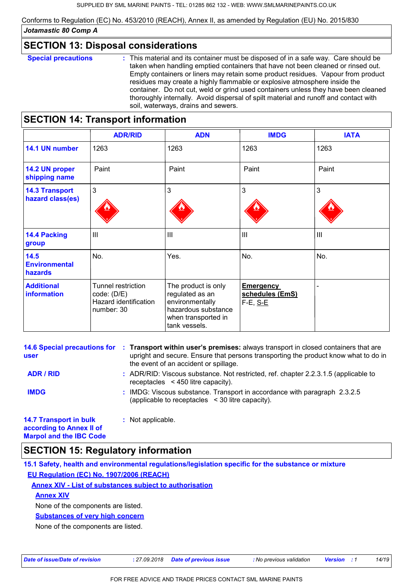## **SECTION 13: Disposal considerations**

**Special precautions :** This material and its container must be disposed of in a safe way. Care should be taken when handling emptied containers that have not been cleaned or rinsed out. Empty containers or liners may retain some product residues. Vapour from product residues may create a highly flammable or explosive atmosphere inside the container. Do not cut, weld or grind used containers unless they have been cleaned thoroughly internally. Avoid dispersal of spilt material and runoff and contact with soil, waterways, drains and sewers.

## **SECTION 14: Transport information**

|                                           | <b>ADR/RID</b>                                                           | <b>ADN</b>                                                                                                               | <b>IMDG</b>                                       | <b>IATA</b> |
|-------------------------------------------|--------------------------------------------------------------------------|--------------------------------------------------------------------------------------------------------------------------|---------------------------------------------------|-------------|
| 14.1 UN number                            | 1263                                                                     | 1263                                                                                                                     | 1263                                              | 1263        |
| 14.2 UN proper<br>shipping name           | Paint                                                                    | Paint                                                                                                                    | Paint                                             | Paint       |
| <b>14.3 Transport</b><br>hazard class(es) | 3                                                                        | 3                                                                                                                        | 3                                                 | 3           |
| <b>14.4 Packing</b><br>group              | III                                                                      | Ш                                                                                                                        | III                                               | III         |
| 14.5<br><b>Environmental</b><br>hazards   | No.                                                                      | Yes.                                                                                                                     | No.                                               | No.         |
| <b>Additional</b><br>information          | Tunnel restriction<br>code: (D/E)<br>Hazard identification<br>number: 30 | The product is only<br>regulated as an<br>environmentally<br>hazardous substance<br>when transported in<br>tank vessels. | <b>Emergency</b><br>schedules (EmS)<br>$F-E, S-E$ |             |

| user                                                                                        | 14.6 Special precautions for : Transport within user's premises: always transport in closed containers that are<br>upright and secure. Ensure that persons transporting the product know what to do in<br>the event of an accident or spillage. |
|---------------------------------------------------------------------------------------------|-------------------------------------------------------------------------------------------------------------------------------------------------------------------------------------------------------------------------------------------------|
| <b>ADR / RID</b>                                                                            | : ADR/RID: Viscous substance. Not restricted, ref. chapter 2.2.3.1.5 (applicable to<br>receptacles $\leq$ 450 litre capacity).                                                                                                                  |
| <b>IMDG</b>                                                                                 | : IMDG: Viscous substance. Transport in accordance with paragraph 2.3.2.5<br>(applicable to receptacles $\leq$ 30 litre capacity).                                                                                                              |
| <b>14.7 Transport in bulk</b><br>according to Annex II of<br><b>Marpol and the IBC Code</b> | : Not applicable.                                                                                                                                                                                                                               |

## **SECTION 15: Regulatory information**

**15.1 Safety, health and environmental regulations/legislation specific for the substance or mixture EU Regulation (EC) No. 1907/2006 (REACH)**

**Annex XIV - List of substances subject to authorisation**

**Annex XIV**

None of the components are listed.

**Substances of very high concern**

None of the components are listed.

*Date of issue/Date of revision* **:** *27.09.2018 Date of previous issue : No previous validation Version : 1 14/19*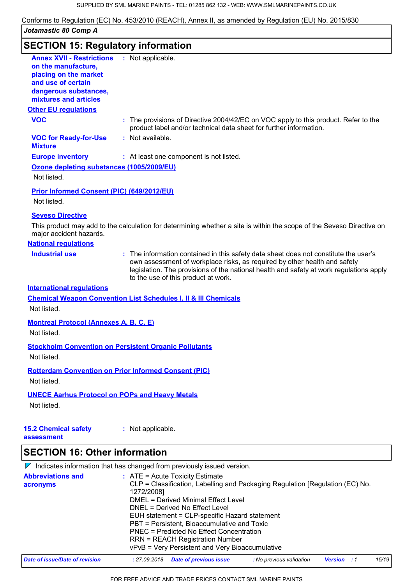| <b>SECTION 15: Regulatory information</b>                                                                                                                |                                                                                                                                                                                                                                                                                                     |
|----------------------------------------------------------------------------------------------------------------------------------------------------------|-----------------------------------------------------------------------------------------------------------------------------------------------------------------------------------------------------------------------------------------------------------------------------------------------------|
| <b>Annex XVII - Restrictions</b><br>on the manufacture,<br>placing on the market<br>and use of certain<br>dangerous substances,<br>mixtures and articles | : Not applicable.                                                                                                                                                                                                                                                                                   |
| <b>Other EU regulations</b>                                                                                                                              |                                                                                                                                                                                                                                                                                                     |
| <b>VOC</b>                                                                                                                                               | : The provisions of Directive 2004/42/EC on VOC apply to this product. Refer to the<br>product label and/or technical data sheet for further information.                                                                                                                                           |
| <b>VOC for Ready-for-Use</b><br><b>Mixture</b>                                                                                                           | : Not available.                                                                                                                                                                                                                                                                                    |
| <b>Europe inventory</b>                                                                                                                                  | : At least one component is not listed.                                                                                                                                                                                                                                                             |
| Ozone depleting substances (1005/2009/EU)<br>Not listed.                                                                                                 |                                                                                                                                                                                                                                                                                                     |
| Prior Informed Consent (PIC) (649/2012/EU)                                                                                                               |                                                                                                                                                                                                                                                                                                     |
| Not listed.                                                                                                                                              |                                                                                                                                                                                                                                                                                                     |
| <b>Seveso Directive</b>                                                                                                                                  |                                                                                                                                                                                                                                                                                                     |
| major accident hazards.                                                                                                                                  | This product may add to the calculation for determining whether a site is within the scope of the Seveso Directive on                                                                                                                                                                               |
| <b>National regulations</b>                                                                                                                              |                                                                                                                                                                                                                                                                                                     |
| <b>Industrial use</b>                                                                                                                                    | : The information contained in this safety data sheet does not constitute the user's<br>own assessment of workplace risks, as required by other health and safety<br>legislation. The provisions of the national health and safety at work regulations apply<br>to the use of this product at work. |
| <b>International regulations</b>                                                                                                                         |                                                                                                                                                                                                                                                                                                     |
|                                                                                                                                                          | <b>Chemical Weapon Convention List Schedules I, II &amp; III Chemicals</b>                                                                                                                                                                                                                          |
| Not listed.                                                                                                                                              |                                                                                                                                                                                                                                                                                                     |
| <b>Montreal Protocol (Annexes A, B, C, E)</b><br>Not listed.                                                                                             |                                                                                                                                                                                                                                                                                                     |
| Not listed.                                                                                                                                              | <b>Stockholm Convention on Persistent Organic Pollutants</b>                                                                                                                                                                                                                                        |
| Not listed.                                                                                                                                              | <b>Rotterdam Convention on Prior Informed Consent (PIC)</b>                                                                                                                                                                                                                                         |
| <b>UNECE Aarhus Protocol on POPs and Heavy Metals</b><br>Not listed.                                                                                     |                                                                                                                                                                                                                                                                                                     |
| <b>15.2 Chemical safety</b>                                                                                                                              | : Not applicable.                                                                                                                                                                                                                                                                                   |

 $\nabla$  Indicates information that has changed from previously issued version.

| <b>Abbreviations and</b><br>acronyms | $:$ ATE = Acute Toxicity Estimate<br>CLP = Classification, Labelling and Packaging Regulation [Regulation (EC) No.<br>1272/2008]<br>DMEL = Derived Minimal Effect Level<br>DNEL = Derived No Effect Level<br>EUH statement = CLP-specific Hazard statement<br>PBT = Persistent, Bioaccumulative and Toxic<br>PNEC = Predicted No Effect Concentration<br><b>RRN = REACH Registration Number</b><br>vPvB = Very Persistent and Very Bioaccumulative |
|--------------------------------------|----------------------------------------------------------------------------------------------------------------------------------------------------------------------------------------------------------------------------------------------------------------------------------------------------------------------------------------------------------------------------------------------------------------------------------------------------|
| Date of issue/Date of revision       | 15/19<br><b>Date of previous issue</b><br>: No previous validation<br>: 27.09.2018<br><b>Version</b> : 1                                                                                                                                                                                                                                                                                                                                           |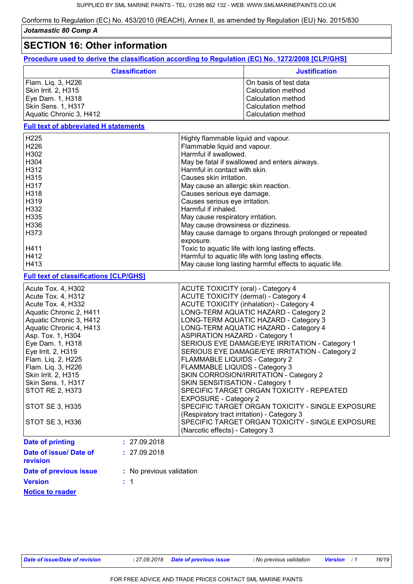## **SECTION 16: Other information**

**Procedure used to derive the classification according to Regulation (EC) No. 1272/2008 [CLP/GHS]**

| <b>Classification</b>   | <b>Justification</b>  |
|-------------------------|-----------------------|
| Flam. Lig. 3, H226      | On basis of test data |
| Skin Irrit. 2, H315     | l Calculation method  |
| Eye Dam. 1, H318        | Calculation method    |
| Skin Sens. 1, H317      | l Calculation method  |
| Aquatic Chronic 3, H412 | Calculation method    |

## **Full text of abbreviated H statements**

| H <sub>225</sub> | Highly flammable liquid and vapour.                      |
|------------------|----------------------------------------------------------|
| H <sub>226</sub> | Flammable liquid and vapour.                             |
| H302             | Harmful if swallowed.                                    |
| H304             | May be fatal if swallowed and enters airways.            |
| H <sub>312</sub> | Harmful in contact with skin.                            |
| H315             | Causes skin irritation.                                  |
| H317             | May cause an allergic skin reaction.                     |
| H318             | Causes serious eye damage.                               |
| H319             | Causes serious eye irritation.                           |
| H332             | Harmful if inhaled.                                      |
| H335             | May cause respiratory irritation.                        |
| H336             | May cause drowsiness or dizziness.                       |
| H <sub>373</sub> | May cause damage to organs through prolonged or repeated |
|                  | exposure.                                                |
| H411             | Toxic to aquatic life with long lasting effects.         |
| H412             | Harmful to aquatic life with long lasting effects.       |
| H413             | May cause long lasting harmful effects to aquatic life.  |

#### **Full text of classifications [CLP/GHS]**

| <b>Version</b>                           | $\therefore$ 1           |                                                                                                                                 |
|------------------------------------------|--------------------------|---------------------------------------------------------------------------------------------------------------------------------|
| Date of previous issue                   | : No previous validation |                                                                                                                                 |
| Date of issue/ Date of<br>revision       | : 27.09.2018             |                                                                                                                                 |
| Date of printing                         | : 27.09.2018             |                                                                                                                                 |
| STOT SE 3, H336                          |                          | SPECIFIC TARGET ORGAN TOXICITY - SINGLE EXPOSURE<br>(Narcotic effects) - Category 3                                             |
| STOT SE 3, H335                          |                          | <b>EXPOSURE - Category 2</b><br>SPECIFIC TARGET ORGAN TOXICITY - SINGLE EXPOSURE<br>(Respiratory tract irritation) - Category 3 |
| <b>STOT RE 2, H373</b>                   |                          | SPECIFIC TARGET ORGAN TOXICITY - REPEATED                                                                                       |
| <b>Skin Sens. 1, H317</b>                |                          | SKIN SENSITISATION - Category 1                                                                                                 |
| Skin Irrit. 2, H315                      |                          | SKIN CORROSION/IRRITATION - Category 2                                                                                          |
| Flam. Liq. 3, H226                       |                          | FLAMMABLE LIQUIDS - Category 3                                                                                                  |
| Eye Irrit. 2, H319<br>Flam. Liq. 2, H225 |                          | SERIOUS EYE DAMAGE/EYE IRRITATION - Category 2<br>FLAMMABLE LIQUIDS - Category 2                                                |
| Eye Dam. 1, H318                         |                          | SERIOUS EYE DAMAGE/EYE IRRITATION - Category 1                                                                                  |
| Asp. Tox. 1, H304                        |                          | <b>ASPIRATION HAZARD - Category 1</b>                                                                                           |
| Aquatic Chronic 4, H413                  |                          | LONG-TERM AQUATIC HAZARD - Category 4                                                                                           |
| Aquatic Chronic 3, H412                  |                          | LONG-TERM AQUATIC HAZARD - Category 3                                                                                           |
| Aquatic Chronic 2, H411                  |                          | LONG-TERM AQUATIC HAZARD - Category 2                                                                                           |
| Acute Tox. 4, H332                       |                          | <b>ACUTE TOXICITY (inhalation) - Category 4</b>                                                                                 |
| Acute Tox. 4, H312                       |                          | ACUTE TOXICITY (dermal) - Category 4                                                                                            |
| Acute Tox. 4, H302                       |                          | ACUTE TOXICITY (oral) - Category 4                                                                                              |

**Notice to reader**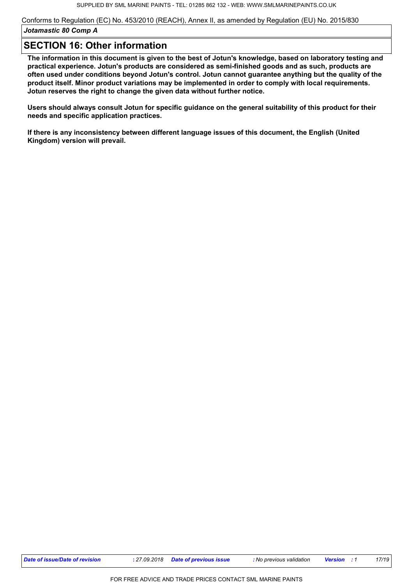## **SECTION 16: Other information**

**[The information in this document is given to the best of Jotun's knowledge, based on laboratory testing and](https://www.smlmarinepaints.co.uk/primers/jotamastic-range/jotamastic-80)  practical experience. Jotun's products are considered as semi-finished goods and as such, products are often used under conditions beyond Jotun's control. Jotun cannot guarantee anything but the quality of the product itself. Minor product variations may be implemented in order to comply with local requirements. Jotun reserves the right to change the given data without further notice.**

**Users should always consult Jotun for specific guidance on the general suitability of this product for their needs and specific application practices.**

**If there is any inconsistency between different language issues of this document, the English (United Kingdom) version will prevail.**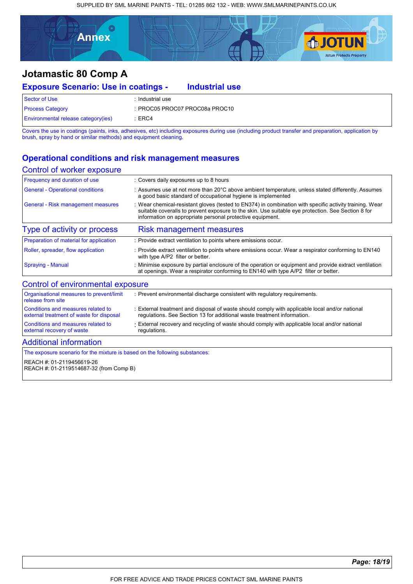SUPPLIED BY SML MARINE PAINTS - TEL: 01285 862 132 - WEB: WWW.SMLMARINEPAINTS.CO.UK



**Industrial use**

# **Jotamastic 80 Comp A**

## **Exposure Scenario: Use in coatings -**

Sector of Use : Industrial use Process Category : PROC05 PROC07 PROC08a PROC10 Environmental release category(ies) : ERC4

[Covers the use in coatings \(paints, inks, adhesives, etc\) including exposures during use \(including product transfer and preparation, application by](https://www.smlmarinepaints.co.uk/primers/jotamastic-range/jotamastic-80)  brush, spray by hand or similar methods) and equipment cleaning.

## **Operational conditions and risk management measures**

#### Control of worker exposure

| : Covers daily exposures up to 8 hours                                                                                                                                                                                                                                     |
|----------------------------------------------------------------------------------------------------------------------------------------------------------------------------------------------------------------------------------------------------------------------------|
| : Assumes use at not more than $20^{\circ}$ C above ambient temperature, unless stated differently. Assumes<br>a good basic standard of occupational hygiene is implemented                                                                                                |
| : Wear chemical-resistant gloves (tested to EN374) in combination with specific activity training. Wear<br>suitable coveralls to prevent exposure to the skin. Use suitable eve protection. See Section 8 for<br>information on appropriate personal protective equipment. |
| Risk management measures                                                                                                                                                                                                                                                   |
| : Provide extract ventilation to points where emissions occur.                                                                                                                                                                                                             |
| : Provide extract ventilation to points where emissions occur. Wear a respirator conforming to EN140<br>with type A/P2 filter or better.                                                                                                                                   |
| : Minimise exposure by partial enclosure of the operation or equipment and provide extract ventilation<br>at openings. Wear a respirator conforming to EN140 with type A/P2 filter or better.                                                                              |
|                                                                                                                                                                                                                                                                            |

| Organisational measures to prevent/limit<br>release from site | : Prevent environmental discharge consistent with regulatory requirements.                     |
|---------------------------------------------------------------|------------------------------------------------------------------------------------------------|
| Conditions and measures related to                            | : External treatment and disposal of waste should comply with applicable local and/or national |
| external treatment of waste for disposal                      | regulations. See Section 13 for additional waste treatment information.                        |
| Conditions and measures related to                            | External recovery and recycling of waste should comply with applicable local and/or national   |
| external recovery of waste                                    | regulations.                                                                                   |

#### Additional information

The exposure scenario for the mixture is based on the following substances:

REACH #: 01-2119456619-26 REACH #: 01-2119514687-32 (from Comp B)